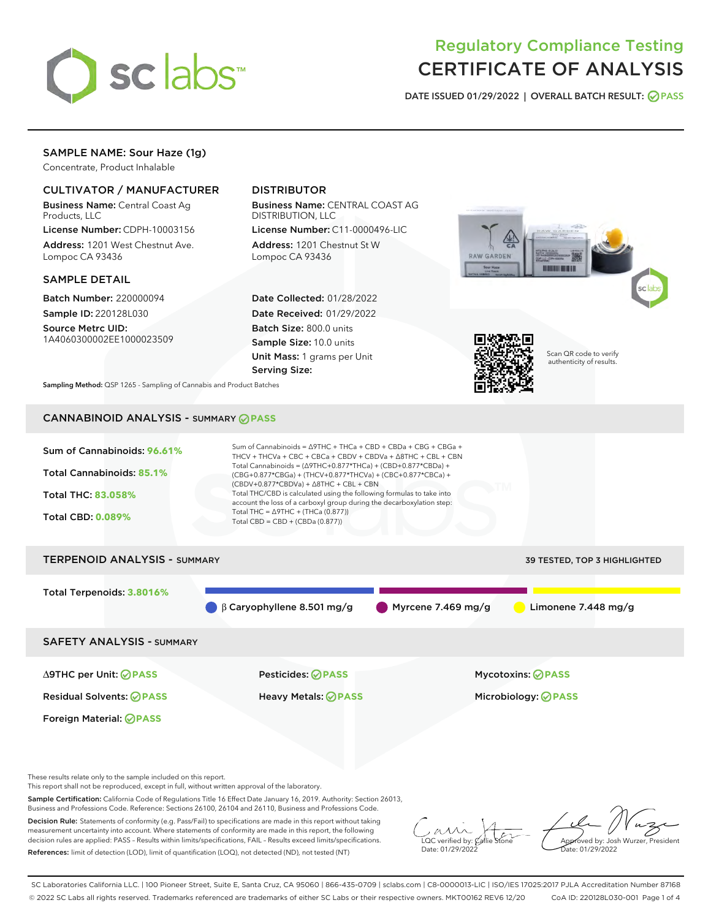

# Regulatory Compliance Testing CERTIFICATE OF ANALYSIS

DATE ISSUED 01/29/2022 | OVERALL BATCH RESULT: @ PASS

# SAMPLE NAME: Sour Haze (1g)

Concentrate, Product Inhalable

# CULTIVATOR / MANUFACTURER

Business Name: Central Coast Ag Products, LLC

License Number: CDPH-10003156 Address: 1201 West Chestnut Ave. Lompoc CA 93436

#### SAMPLE DETAIL

Batch Number: 220000094 Sample ID: 220128L030

Source Metrc UID: 1A4060300002EE1000023509

# DISTRIBUTOR

Business Name: CENTRAL COAST AG DISTRIBUTION, LLC

License Number: C11-0000496-LIC Address: 1201 Chestnut St W Lompoc CA 93436

Date Collected: 01/28/2022 Date Received: 01/29/2022 Batch Size: 800.0 units Sample Size: 10.0 units Unit Mass: 1 grams per Unit Serving Size:





Scan QR code to verify authenticity of results.

Sampling Method: QSP 1265 - Sampling of Cannabis and Product Batches

# CANNABINOID ANALYSIS - SUMMARY **PASS**



These results relate only to the sample included on this report.

This report shall not be reproduced, except in full, without written approval of the laboratory.

Sample Certification: California Code of Regulations Title 16 Effect Date January 16, 2019. Authority: Section 26013, Business and Professions Code. Reference: Sections 26100, 26104 and 26110, Business and Professions Code.

Decision Rule: Statements of conformity (e.g. Pass/Fail) to specifications are made in this report without taking measurement uncertainty into account. Where statements of conformity are made in this report, the following decision rules are applied: PASS – Results within limits/specifications, FAIL – Results exceed limits/specifications. References: limit of detection (LOD), limit of quantification (LOQ), not detected (ND), not tested (NT)

 $\overline{\text{C}}$  verified by:  $\mathcal C$ Date: 01/29/2022

Approved by: Josh Wurzer, President ate: 01/29/2022

SC Laboratories California LLC. | 100 Pioneer Street, Suite E, Santa Cruz, CA 95060 | 866-435-0709 | sclabs.com | C8-0000013-LIC | ISO/IES 17025:2017 PJLA Accreditation Number 87168 © 2022 SC Labs all rights reserved. Trademarks referenced are trademarks of either SC Labs or their respective owners. MKT00162 REV6 12/20 CoA ID: 220128L030-001 Page 1 of 4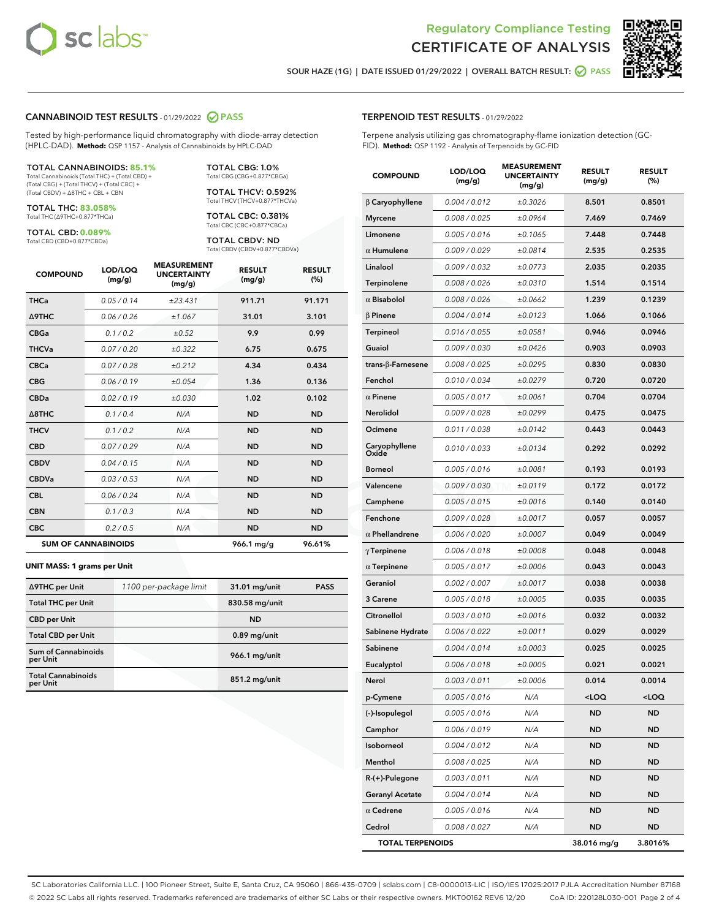



SOUR HAZE (1G) | DATE ISSUED 01/29/2022 | OVERALL BATCH RESULT:  $\bigcirc$  PASS

#### CANNABINOID TEST RESULTS - 01/29/2022 2 PASS

Tested by high-performance liquid chromatography with diode-array detection (HPLC-DAD). **Method:** QSP 1157 - Analysis of Cannabinoids by HPLC-DAD

#### TOTAL CANNABINOIDS: **85.1%**

Total Cannabinoids (Total THC) + (Total CBD) + (Total CBG) + (Total THCV) + (Total CBC) + (Total CBDV) + ∆8THC + CBL + CBN

TOTAL THC: **83.058%** Total THC (∆9THC+0.877\*THCa)

TOTAL CBD: **0.089%**

Total CBD (CBD+0.877\*CBDa)

TOTAL CBG: 1.0% Total CBG (CBG+0.877\*CBGa)

TOTAL THCV: 0.592% Total THCV (THCV+0.877\*THCVa)

TOTAL CBC: 0.381% Total CBC (CBC+0.877\*CBCa)

TOTAL CBDV: ND Total CBDV (CBDV+0.877\*CBDVa)

| <b>COMPOUND</b>            | LOD/LOQ<br>(mg/g) | <b>MEASUREMENT</b><br><b>UNCERTAINTY</b><br>(mg/g) | <b>RESULT</b><br>(mg/g) | <b>RESULT</b><br>(%) |
|----------------------------|-------------------|----------------------------------------------------|-------------------------|----------------------|
| <b>THCa</b>                | 0.05/0.14         | ±23.431                                            | 911.71                  | 91.171               |
| <b>A9THC</b>               | 0.06 / 0.26       | ±1.067                                             | 31.01                   | 3.101                |
| <b>CBGa</b>                | 0.1/0.2           | ±0.52                                              | 9.9                     | 0.99                 |
| <b>THCVa</b>               | 0.07 / 0.20       | ±0.322                                             | 6.75                    | 0.675                |
| <b>CBCa</b>                | 0.07/0.28         | ±0.212                                             | 4.34                    | 0.434                |
| <b>CBG</b>                 | 0.06/0.19         | ±0.054                                             | 1.36                    | 0.136                |
| <b>CBDa</b>                | 0.02/0.19         | ±0.030                                             | 1.02                    | 0.102                |
| $\triangle$ 8THC           | 0.1/0.4           | N/A                                                | <b>ND</b>               | <b>ND</b>            |
| <b>THCV</b>                | 0.1 / 0.2         | N/A                                                | <b>ND</b>               | <b>ND</b>            |
| <b>CBD</b>                 | 0.07/0.29         | N/A                                                | <b>ND</b>               | <b>ND</b>            |
| <b>CBDV</b>                | 0.04 / 0.15       | N/A                                                | <b>ND</b>               | <b>ND</b>            |
| <b>CBDVa</b>               | 0.03 / 0.53       | N/A                                                | <b>ND</b>               | <b>ND</b>            |
| <b>CBL</b>                 | 0.06 / 0.24       | N/A                                                | <b>ND</b>               | <b>ND</b>            |
| <b>CBN</b>                 | 0.1/0.3           | N/A                                                | <b>ND</b>               | <b>ND</b>            |
| <b>CBC</b>                 | 0.2 / 0.5         | N/A                                                | <b>ND</b>               | <b>ND</b>            |
| <b>SUM OF CANNABINOIDS</b> |                   |                                                    | 966.1 mg/g              | 96.61%               |

#### **UNIT MASS: 1 grams per Unit**

| ∆9THC per Unit                        | 1100 per-package limit | 31.01 mg/unit  | <b>PASS</b> |
|---------------------------------------|------------------------|----------------|-------------|
| <b>Total THC per Unit</b>             |                        | 830.58 mg/unit |             |
| <b>CBD</b> per Unit                   |                        | <b>ND</b>      |             |
| <b>Total CBD per Unit</b>             |                        | $0.89$ mg/unit |             |
| Sum of Cannabinoids<br>per Unit       |                        | 966.1 mg/unit  |             |
| <b>Total Cannabinoids</b><br>per Unit |                        | 851.2 mg/unit  |             |

#### TERPENOID TEST RESULTS - 01/29/2022

Terpene analysis utilizing gas chromatography-flame ionization detection (GC-FID). **Method:** QSP 1192 - Analysis of Terpenoids by GC-FID

| <b>COMPOUND</b>           | LOD/LOQ<br>(mg/g) | <b>MEASUREMENT</b><br><b>UNCERTAINTY</b><br>(mg/g) | <b>RESULT</b><br>(mg/g)                         | <b>RESULT</b><br>(%) |
|---------------------------|-------------------|----------------------------------------------------|-------------------------------------------------|----------------------|
| $\beta$ Caryophyllene     | 0.004 / 0.012     | ±0.3026                                            | 8.501                                           | 0.8501               |
| <b>Myrcene</b>            | 0.008 / 0.025     | ±0.0964                                            | 7.469                                           | 0.7469               |
| Limonene                  | 0.005 / 0.016     | ±0.1065                                            | 7.448                                           | 0.7448               |
| $\alpha$ Humulene         | 0.009 / 0.029     | ±0.0814                                            | 2.535                                           | 0.2535               |
| Linalool                  | 0.009 / 0.032     | ±0.0773                                            | 2.035                                           | 0.2035               |
| Terpinolene               | 0.008 / 0.026     | ±0.0310                                            | 1.514                                           | 0.1514               |
| $\alpha$ Bisabolol        | 0.008 / 0.026     | ±0.0662                                            | 1.239                                           | 0.1239               |
| $\beta$ Pinene            | 0.004 / 0.014     | ±0.0123                                            | 1.066                                           | 0.1066               |
| <b>Terpineol</b>          | 0.016 / 0.055     | ±0.0581                                            | 0.946                                           | 0.0946               |
| Guaiol                    | 0.009 / 0.030     | ±0.0426                                            | 0.903                                           | 0.0903               |
| trans- $\beta$ -Farnesene | 0.008 / 0.025     | ±0.0295                                            | 0.830                                           | 0.0830               |
| Fenchol                   | 0.010 / 0.034     | ±0.0279                                            | 0.720                                           | 0.0720               |
| $\alpha$ Pinene           | 0.005 / 0.017     | ±0.0061                                            | 0.704                                           | 0.0704               |
| Nerolidol                 | 0.009 / 0.028     | ±0.0299                                            | 0.475                                           | 0.0475               |
| Ocimene                   | 0.011 / 0.038     | ±0.0142                                            | 0.443                                           | 0.0443               |
| Caryophyllene<br>Oxide    | 0.010 / 0.033     | ±0.0134                                            | 0.292                                           | 0.0292               |
| Borneol                   | 0.005 / 0.016     | ±0.0081                                            | 0.193                                           | 0.0193               |
| Valencene                 | 0.009 / 0.030     | ±0.0119                                            | 0.172                                           | 0.0172               |
| Camphene                  | 0.005 / 0.015     | ±0.0016                                            | 0.140                                           | 0.0140               |
| Fenchone                  | 0.009 / 0.028     | ±0.0017                                            | 0.057                                           | 0.0057               |
| $\alpha$ Phellandrene     | 0.006 / 0.020     | ±0.0007                                            | 0.049                                           | 0.0049               |
| $\gamma$ Terpinene        | 0.006 / 0.018     | ±0.0008                                            | 0.048                                           | 0.0048               |
| $\alpha$ Terpinene        | 0.005 / 0.017     | ±0.0006                                            | 0.043                                           | 0.0043               |
| Geraniol                  | 0.002 / 0.007     | ±0.0017                                            | 0.038                                           | 0.0038               |
| 3 Carene                  | 0.005 / 0.018     | ±0.0005                                            | 0.035                                           | 0.0035               |
| Citronellol               | 0.003 / 0.010     | ±0.0016                                            | 0.032                                           | 0.0032               |
| Sabinene Hydrate          | 0.006 / 0.022     | ±0.0011                                            | 0.029                                           | 0.0029               |
| Sabinene                  | 0.004 / 0.014     | ±0.0003                                            | 0.025                                           | 0.0025               |
| Eucalyptol                | 0.006 / 0.018     | ±0.0005                                            | 0.021                                           | 0.0021               |
| Nerol                     | 0.003 / 0.011     | ±0.0006                                            | 0.014                                           | 0.0014               |
| p-Cymene                  | 0.005 / 0.016     | N/A                                                | <loq< th=""><th><loq< th=""></loq<></th></loq<> | <loq< th=""></loq<>  |
| (-)-Isopulegol            | 0.005 / 0.016     | N/A                                                | ND                                              | ND                   |
| Camphor                   | 0.006 / 0.019     | N/A                                                | <b>ND</b>                                       | <b>ND</b>            |
| Isoborneol                | 0.004 / 0.012     | N/A                                                | ND                                              | ND                   |
| Menthol                   | 0.008 / 0.025     | N/A                                                | ND                                              | ND                   |
| R-(+)-Pulegone            | 0.003 / 0.011     | N/A                                                | ND                                              | ND                   |
| <b>Geranyl Acetate</b>    | 0.004 / 0.014     | N/A                                                | <b>ND</b>                                       | ND                   |
| $\alpha$ Cedrene          | 0.005 / 0.016     | N/A                                                | ND                                              | ND                   |
| Cedrol                    | 0.008 / 0.027     | N/A                                                | <b>ND</b>                                       | ND                   |
| <b>TOTAL TERPENOIDS</b>   |                   |                                                    | 38.016 mg/g                                     | 3.8016%              |

SC Laboratories California LLC. | 100 Pioneer Street, Suite E, Santa Cruz, CA 95060 | 866-435-0709 | sclabs.com | C8-0000013-LIC | ISO/IES 17025:2017 PJLA Accreditation Number 87168 © 2022 SC Labs all rights reserved. Trademarks referenced are trademarks of either SC Labs or their respective owners. MKT00162 REV6 12/20 CoA ID: 220128L030-001 Page 2 of 4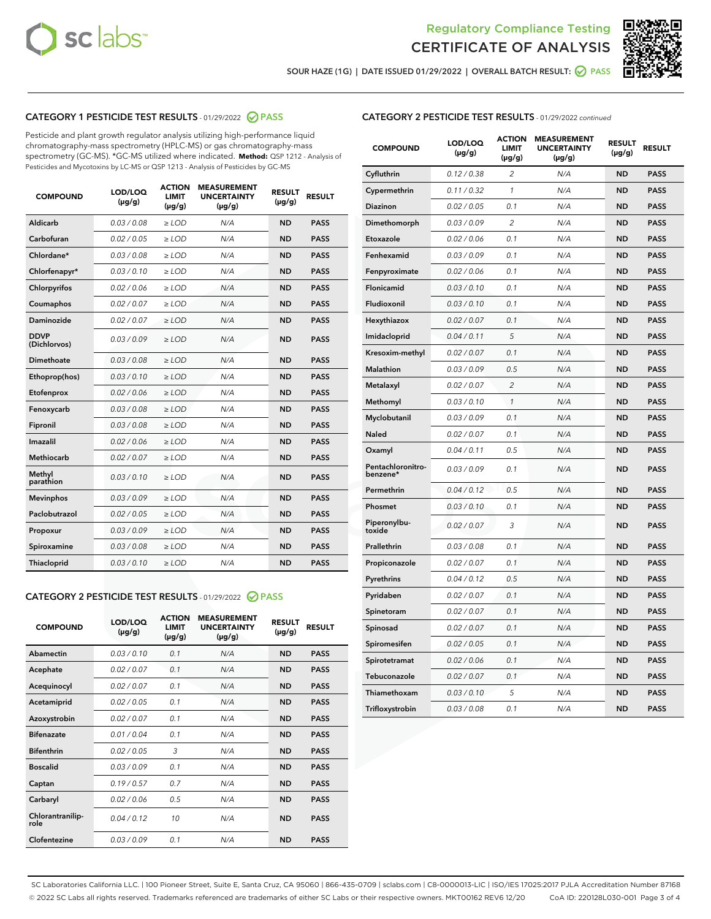



SOUR HAZE (1G) | DATE ISSUED 01/29/2022 | OVERALL BATCH RESULT: 2 PASS

# CATEGORY 1 PESTICIDE TEST RESULTS - 01/29/2022 2 PASS

Pesticide and plant growth regulator analysis utilizing high-performance liquid chromatography-mass spectrometry (HPLC-MS) or gas chromatography-mass spectrometry (GC-MS). \*GC-MS utilized where indicated. **Method:** QSP 1212 - Analysis of Pesticides and Mycotoxins by LC-MS or QSP 1213 - Analysis of Pesticides by GC-MS

| <b>COMPOUND</b>             | LOD/LOQ<br>$(\mu g/g)$ | <b>ACTION</b><br><b>LIMIT</b><br>$(\mu g/g)$ | <b>MEASUREMENT</b><br><b>UNCERTAINTY</b><br>$(\mu g/g)$ | <b>RESULT</b><br>$(\mu g/g)$ | <b>RESULT</b> |
|-----------------------------|------------------------|----------------------------------------------|---------------------------------------------------------|------------------------------|---------------|
| Aldicarb                    | 0.03 / 0.08            | $\ge$ LOD                                    | N/A                                                     | <b>ND</b>                    | <b>PASS</b>   |
| Carbofuran                  | 0.02 / 0.05            | $\ge$ LOD                                    | N/A                                                     | <b>ND</b>                    | <b>PASS</b>   |
| Chlordane*                  | 0.03 / 0.08            | $\ge$ LOD                                    | N/A                                                     | <b>ND</b>                    | <b>PASS</b>   |
| Chlorfenapyr*               | 0.03/0.10              | $\ge$ LOD                                    | N/A                                                     | <b>ND</b>                    | <b>PASS</b>   |
| Chlorpyrifos                | 0.02 / 0.06            | $\ge$ LOD                                    | N/A                                                     | <b>ND</b>                    | <b>PASS</b>   |
| Coumaphos                   | 0.02 / 0.07            | $\ge$ LOD                                    | N/A                                                     | <b>ND</b>                    | <b>PASS</b>   |
| Daminozide                  | 0.02 / 0.07            | $\ge$ LOD                                    | N/A                                                     | <b>ND</b>                    | <b>PASS</b>   |
| <b>DDVP</b><br>(Dichlorvos) | 0.03/0.09              | $>$ LOD                                      | N/A                                                     | <b>ND</b>                    | <b>PASS</b>   |
| Dimethoate                  | 0.03/0.08              | $\ge$ LOD                                    | N/A                                                     | <b>ND</b>                    | <b>PASS</b>   |
| Ethoprop(hos)               | 0.03 / 0.10            | $>$ LOD                                      | N/A                                                     | <b>ND</b>                    | <b>PASS</b>   |
| Etofenprox                  | 0.02 / 0.06            | $\ge$ LOD                                    | N/A                                                     | <b>ND</b>                    | <b>PASS</b>   |
| Fenoxycarb                  | 0.03/0.08              | $\ge$ LOD                                    | N/A                                                     | <b>ND</b>                    | <b>PASS</b>   |
| Fipronil                    | 0.03/0.08              | $\ge$ LOD                                    | N/A                                                     | <b>ND</b>                    | <b>PASS</b>   |
| Imazalil                    | 0.02 / 0.06            | $>$ LOD                                      | N/A                                                     | <b>ND</b>                    | <b>PASS</b>   |
| <b>Methiocarb</b>           | 0.02 / 0.07            | $\ge$ LOD                                    | N/A                                                     | <b>ND</b>                    | <b>PASS</b>   |
| Methyl<br>parathion         | 0.03/0.10              | $\ge$ LOD                                    | N/A                                                     | <b>ND</b>                    | <b>PASS</b>   |
| <b>Mevinphos</b>            | 0.03/0.09              | $\ge$ LOD                                    | N/A                                                     | <b>ND</b>                    | <b>PASS</b>   |
| Paclobutrazol               | 0.02 / 0.05            | $>$ LOD                                      | N/A                                                     | <b>ND</b>                    | <b>PASS</b>   |
| Propoxur                    | 0.03/0.09              | $\ge$ LOD                                    | N/A                                                     | <b>ND</b>                    | <b>PASS</b>   |
| Spiroxamine                 | 0.03 / 0.08            | $\ge$ LOD                                    | N/A                                                     | <b>ND</b>                    | <b>PASS</b>   |
| Thiacloprid                 | 0.03/0.10              | $\ge$ LOD                                    | N/A                                                     | <b>ND</b>                    | <b>PASS</b>   |

#### CATEGORY 2 PESTICIDE TEST RESULTS - 01/29/2022 2 PASS

| <b>COMPOUND</b>          | LOD/LOO<br>$(\mu g/g)$ | <b>ACTION</b><br>LIMIT<br>$(\mu g/g)$ | <b>MEASUREMENT</b><br><b>UNCERTAINTY</b><br>$(\mu g/g)$ | <b>RESULT</b><br>$(\mu g/g)$ | <b>RESULT</b> |  |
|--------------------------|------------------------|---------------------------------------|---------------------------------------------------------|------------------------------|---------------|--|
| Abamectin                | 0.03/0.10              | 0.1                                   | N/A                                                     | <b>ND</b>                    | <b>PASS</b>   |  |
| Acephate                 | 0.02/0.07              | 0.1                                   | N/A                                                     | <b>ND</b>                    | <b>PASS</b>   |  |
| Acequinocyl              | 0.02/0.07              | 0.1                                   | N/A                                                     | <b>ND</b>                    | <b>PASS</b>   |  |
| Acetamiprid              | 0.02 / 0.05            | 0.1                                   | N/A                                                     | <b>ND</b>                    | <b>PASS</b>   |  |
| Azoxystrobin             | 0.02/0.07              | 0.1                                   | N/A                                                     | <b>ND</b>                    | <b>PASS</b>   |  |
| <b>Bifenazate</b>        | 0.01 / 0.04            | 0.1                                   | N/A                                                     | <b>ND</b>                    | <b>PASS</b>   |  |
| <b>Bifenthrin</b>        | 0.02 / 0.05            | 3                                     | N/A                                                     | <b>ND</b>                    | <b>PASS</b>   |  |
| <b>Boscalid</b>          | 0.03/0.09              | 0.1                                   | N/A                                                     | <b>ND</b>                    | <b>PASS</b>   |  |
| Captan                   | 0.19/0.57              | 0.7                                   | N/A                                                     | <b>ND</b>                    | <b>PASS</b>   |  |
| Carbaryl                 | 0.02/0.06              | 0.5                                   | N/A                                                     | <b>ND</b>                    | <b>PASS</b>   |  |
| Chlorantranilip-<br>role | 0.04/0.12              | 10                                    | N/A                                                     | <b>ND</b>                    | <b>PASS</b>   |  |
| Clofentezine             | 0.03/0.09              | 0.1                                   | N/A                                                     | <b>ND</b>                    | <b>PASS</b>   |  |

| <b>CATEGORY 2 PESTICIDE TEST RESULTS</b> - 01/29/2022 continued |  |  |
|-----------------------------------------------------------------|--|--|
|                                                                 |  |  |

| <b>COMPOUND</b>               | LOD/LOQ<br>(µg/g) | <b>ACTION</b><br><b>LIMIT</b><br>(µg/g) | <b>MEASUREMENT</b><br><b>UNCERTAINTY</b><br>$(\mu g/g)$ | <b>RESULT</b><br>(µg/g) | <b>RESULT</b> |
|-------------------------------|-------------------|-----------------------------------------|---------------------------------------------------------|-------------------------|---------------|
| Cyfluthrin                    | 0.12 / 0.38       | $\overline{c}$                          | N/A                                                     | <b>ND</b>               | <b>PASS</b>   |
| Cypermethrin                  | 0.11 / 0.32       | $\mathcal{I}$                           | N/A                                                     | <b>ND</b>               | <b>PASS</b>   |
| <b>Diazinon</b>               | 0.02 / 0.05       | 0.1                                     | N/A                                                     | <b>ND</b>               | <b>PASS</b>   |
| Dimethomorph                  | 0.03 / 0.09       | 2                                       | N/A                                                     | <b>ND</b>               | <b>PASS</b>   |
| Etoxazole                     | 0.02 / 0.06       | 0.1                                     | N/A                                                     | <b>ND</b>               | <b>PASS</b>   |
| Fenhexamid                    | 0.03 / 0.09       | 0.1                                     | N/A                                                     | <b>ND</b>               | <b>PASS</b>   |
| Fenpyroximate                 | 0.02 / 0.06       | 0.1                                     | N/A                                                     | <b>ND</b>               | <b>PASS</b>   |
| Flonicamid                    | 0.03 / 0.10       | 0.1                                     | N/A                                                     | <b>ND</b>               | <b>PASS</b>   |
| Fludioxonil                   | 0.03/0.10         | 0.1                                     | N/A                                                     | <b>ND</b>               | <b>PASS</b>   |
| Hexythiazox                   | 0.02 / 0.07       | 0.1                                     | N/A                                                     | <b>ND</b>               | <b>PASS</b>   |
| Imidacloprid                  | 0.04 / 0.11       | 5                                       | N/A                                                     | <b>ND</b>               | <b>PASS</b>   |
| Kresoxim-methyl               | 0.02 / 0.07       | 0.1                                     | N/A                                                     | <b>ND</b>               | <b>PASS</b>   |
| <b>Malathion</b>              | 0.03 / 0.09       | 0.5                                     | N/A                                                     | <b>ND</b>               | <b>PASS</b>   |
| Metalaxyl                     | 0.02 / 0.07       | $\overline{c}$                          | N/A                                                     | <b>ND</b>               | <b>PASS</b>   |
| Methomyl                      | 0.03 / 0.10       | 1                                       | N/A                                                     | <b>ND</b>               | <b>PASS</b>   |
| Myclobutanil                  | 0.03 / 0.09       | 0.1                                     | N/A                                                     | <b>ND</b>               | <b>PASS</b>   |
| Naled                         | 0.02 / 0.07       | 0.1                                     | N/A                                                     | <b>ND</b>               | <b>PASS</b>   |
| Oxamyl                        | 0.04 / 0.11       | 0.5                                     | N/A                                                     | <b>ND</b>               | <b>PASS</b>   |
| Pentachloronitro-<br>benzene* | 0.03 / 0.09       | 0.1                                     | N/A                                                     | <b>ND</b>               | <b>PASS</b>   |
| Permethrin                    | 0.04 / 0.12       | 0.5                                     | N/A                                                     | <b>ND</b>               | <b>PASS</b>   |
| Phosmet                       | 0.03 / 0.10       | 0.1                                     | N/A                                                     | <b>ND</b>               | <b>PASS</b>   |
| Piperonylbu-<br>toxide        | 0.02 / 0.07       | 3                                       | N/A                                                     | <b>ND</b>               | <b>PASS</b>   |
| Prallethrin                   | 0.03 / 0.08       | 0.1                                     | N/A                                                     | <b>ND</b>               | <b>PASS</b>   |
| Propiconazole                 | 0.02 / 0.07       | 0.1                                     | N/A                                                     | <b>ND</b>               | <b>PASS</b>   |
| Pyrethrins                    | 0.04 / 0.12       | 0.5                                     | N/A                                                     | <b>ND</b>               | <b>PASS</b>   |
| Pyridaben                     | 0.02 / 0.07       | 0.1                                     | N/A                                                     | <b>ND</b>               | <b>PASS</b>   |
| Spinetoram                    | 0.02 / 0.07       | 0.1                                     | N/A                                                     | <b>ND</b>               | <b>PASS</b>   |
| Spinosad                      | 0.02 / 0.07       | 0.1                                     | N/A                                                     | <b>ND</b>               | <b>PASS</b>   |
| Spiromesifen                  | 0.02 / 0.05       | 0.1                                     | N/A                                                     | <b>ND</b>               | <b>PASS</b>   |
| Spirotetramat                 | 0.02 / 0.06       | 0.1                                     | N/A                                                     | <b>ND</b>               | <b>PASS</b>   |
| Tebuconazole                  | 0.02 / 0.07       | 0.1                                     | N/A                                                     | <b>ND</b>               | <b>PASS</b>   |
| Thiamethoxam                  | 0.03 / 0.10       | 5                                       | N/A                                                     | <b>ND</b>               | <b>PASS</b>   |
| Trifloxystrobin               | 0.03 / 0.08       | 0.1                                     | N/A                                                     | <b>ND</b>               | <b>PASS</b>   |

SC Laboratories California LLC. | 100 Pioneer Street, Suite E, Santa Cruz, CA 95060 | 866-435-0709 | sclabs.com | C8-0000013-LIC | ISO/IES 17025:2017 PJLA Accreditation Number 87168 © 2022 SC Labs all rights reserved. Trademarks referenced are trademarks of either SC Labs or their respective owners. MKT00162 REV6 12/20 CoA ID: 220128L030-001 Page 3 of 4